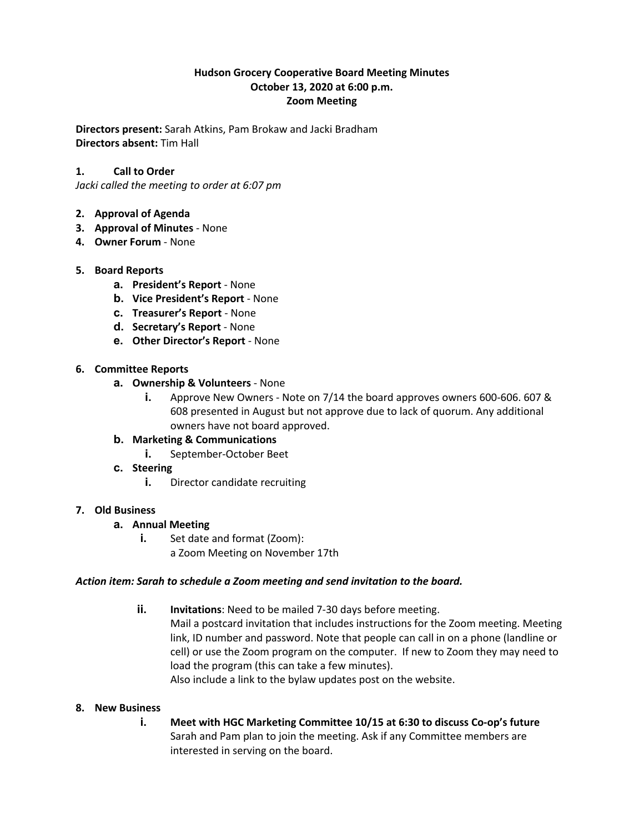# **Hudson Grocery Cooperative Board Meeting Minutes October 13, 2020 at 6:00 p.m. Zoom Meeting**

**Directors present:** Sarah Atkins, Pam Brokaw and Jacki Bradham **Directors absent:** Tim Hall

# **1. Call to Order**

*Jacki called the meeting to order at 6:07 pm*

### **2. Approval of Agenda**

- **3. Approval of Minutes** None
- **4. Owner Forum**  None

## **5. Board Reports**

- **a. President's Report** None
- **b. Vice President's Report** None
- **c. Treasurer's Report** None
- **d. Secretary's Report** None
- **e. Other Director's Report**  None

### **6. Committee Reports**

- **a. Ownership & Volunteers**  None
	- **i.** Approve New Owners Note on 7/14 the board approves owners 600-606. 607 & 608 presented in August but not approve due to lack of quorum. Any additional owners have not board approved.
- **b. Marketing & Communications** 
	- **i.** September-October Beet
- **c. Steering** 
	- **i.** Director candidate recruiting

### **7. Old Business**

### **a. Annual Meeting**

**i.** Set date and format (Zoom): a Zoom Meeting on November 17th

### *Action item: Sarah to schedule a Zoom meeting and send invitation to the board.*

**ii. Invitations**: Need to be mailed 7-30 days before meeting. Mail a postcard invitation that includes instructions for the Zoom meeting. Meeting link, ID number and password. Note that people can call in on a phone (landline or cell) or use the Zoom program on the computer. If new to Zoom they may need to load the program (this can take a few minutes). Also include a link to the bylaw updates post on the website.

### **8. New Business**

**i. Meet with HGC Marketing Committee 10/15 at 6:30 to discuss Co-op's future** Sarah and Pam plan to join the meeting. Ask if any Committee members are interested in serving on the board.